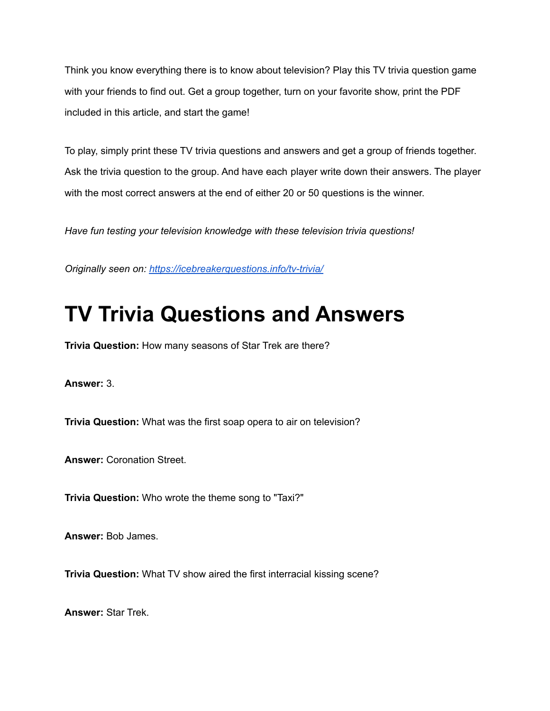Think you know everything there is to know about television? Play this TV trivia question game with your friends to find out. Get a group together, turn on your favorite show, print the PDF included in this article, and start the game!

To play, simply print these TV trivia questions and answers and get a group of friends together. Ask the trivia question to the group. And have each player write down their answers. The player with the most correct answers at the end of either 20 or 50 questions is the winner.

*Have fun testing your television knowledge with these television trivia questions!*

*Originally seen on: <https://icebreakerquestions.info/tv-trivia/>*

## **TV Trivia Questions and Answers**

**Trivia Question:** How many seasons of Star Trek are there?

**Answer:** 3.

**Trivia Question:** What was the first soap opera to air on television?

**Answer:** Coronation Street.

**Trivia Question:** Who wrote the theme song to "Taxi?"

**Answer:** Bob James.

**Trivia Question:** What TV show aired the first interracial kissing scene?

**Answer:** Star Trek.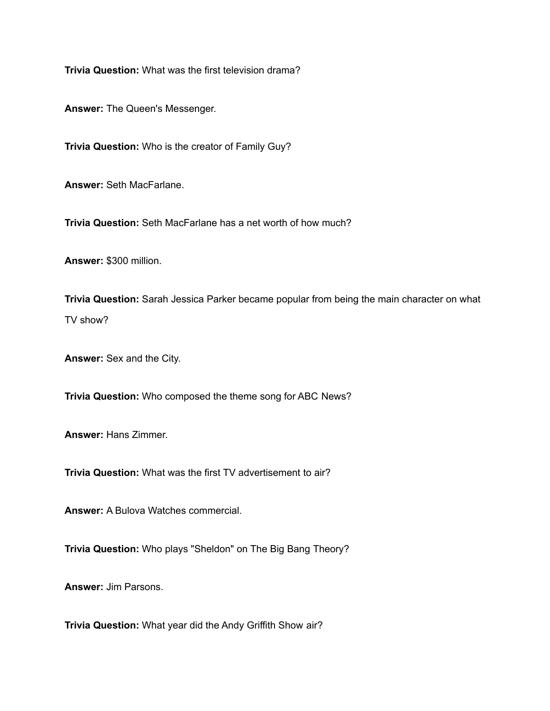**Trivia Question:** What was the first television drama?

**Answer:** The Queen's Messenger.

**Trivia Question:** Who is the creator of Family Guy?

**Answer:** Seth MacFarlane.

**Trivia Question:** Seth MacFarlane has a net worth of how much?

**Answer:** \$300 million.

**Trivia Question:** Sarah Jessica Parker became popular from being the main character on what TV show?

**Answer:** Sex and the City.

**Trivia Question:** Who composed the theme song for ABC News?

**Answer:** Hans Zimmer.

**Trivia Question:** What was the first TV advertisement to air?

**Answer:** A Bulova Watches commercial.

**Trivia Question:** Who plays "Sheldon" on The Big Bang Theory?

**Answer:** Jim Parsons.

**Trivia Question:** What year did the Andy Griffith Show air?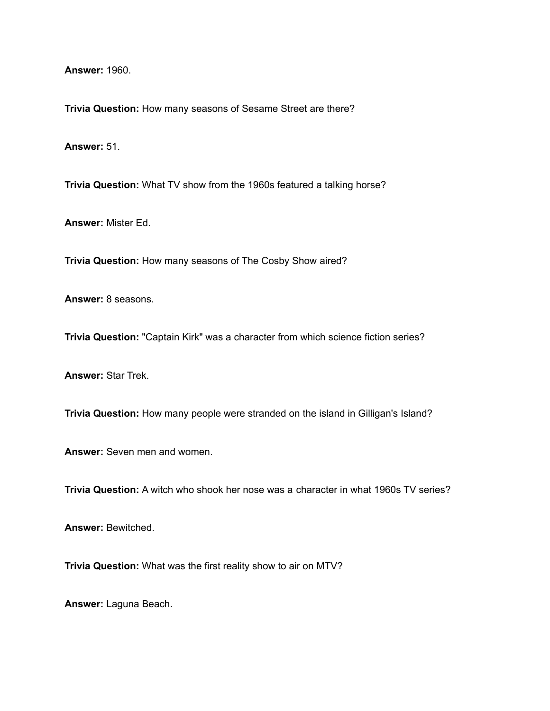**Answer:** 1960.

**Trivia Question:** How many seasons of Sesame Street are there?

**Answer:** 51.

**Trivia Question:** What TV show from the 1960s featured a talking horse?

**Answer:** Mister Ed.

**Trivia Question:** How many seasons of The Cosby Show aired?

**Answer:** 8 seasons.

**Trivia Question:** "Captain Kirk" was a character from which science fiction series?

**Answer:** Star Trek.

**Trivia Question:** How many people were stranded on the island in Gilligan's Island?

**Answer:** Seven men and women.

**Trivia Question:** A witch who shook her nose was a character in what 1960s TV series?

**Answer:** Bewitched.

**Trivia Question:** What was the first reality show to air on MTV?

**Answer:** Laguna Beach.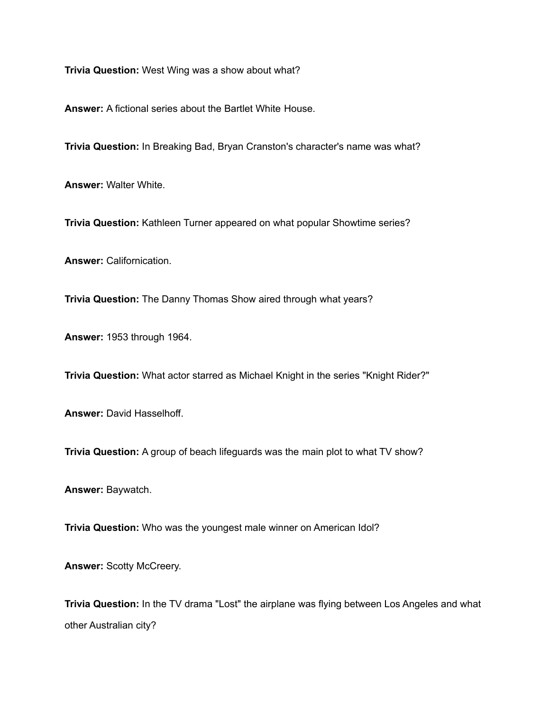**Trivia Question:** West Wing was a show about what?

**Answer:** A fictional series about the Bartlet White House.

**Trivia Question:** In Breaking Bad, Bryan Cranston's character's name was what?

**Answer:** Walter White.

**Trivia Question:** Kathleen Turner appeared on what popular Showtime series?

**Answer:** Californication.

**Trivia Question:** The Danny Thomas Show aired through what years?

**Answer:** 1953 through 1964.

**Trivia Question:** What actor starred as Michael Knight in the series "Knight Rider?"

**Answer:** David Hasselhoff.

**Trivia Question:** A group of beach lifeguards was the main plot to what TV show?

**Answer:** Baywatch.

**Trivia Question:** Who was the youngest male winner on American Idol?

**Answer:** Scotty McCreery.

**Trivia Question:** In the TV drama "Lost" the airplane was flying between Los Angeles and what other Australian city?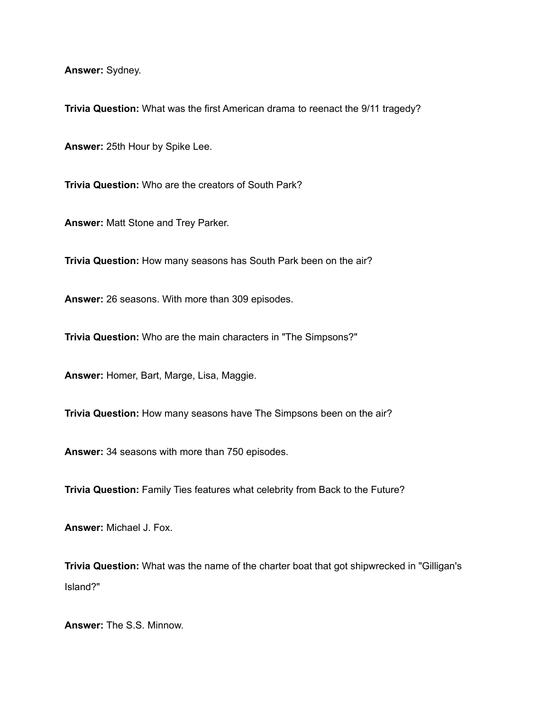**Answer:** Sydney.

**Trivia Question:** What was the first American drama to reenact the 9/11 tragedy?

**Answer:** 25th Hour by Spike Lee.

**Trivia Question:** Who are the creators of South Park?

**Answer:** Matt Stone and Trey Parker.

**Trivia Question:** How many seasons has South Park been on the air?

**Answer:** 26 seasons. With more than 309 episodes.

**Trivia Question:** Who are the main characters in "The Simpsons?"

**Answer:** Homer, Bart, Marge, Lisa, Maggie.

**Trivia Question:** How many seasons have The Simpsons been on the air?

**Answer:** 34 seasons with more than 750 episodes.

**Trivia Question:** Family Ties features what celebrity from Back to the Future?

**Answer:** Michael J. Fox.

**Trivia Question:** What was the name of the charter boat that got shipwrecked in "Gilligan's Island?"

**Answer:** The S.S. Minnow.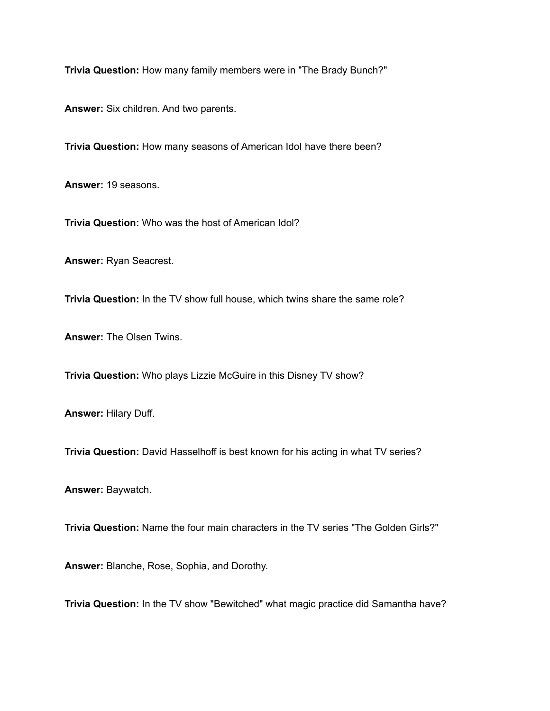**Trivia Question:** How many family members were in "The Brady Bunch?"

**Answer:** Six children. And two parents.

**Trivia Question:** How many seasons of American Idol have there been?

**Answer:** 19 seasons.

**Trivia Question:** Who was the host of American Idol?

**Answer:** Ryan Seacrest.

**Trivia Question:** In the TV show full house, which twins share the same role?

**Answer:** The Olsen Twins.

**Trivia Question:** Who plays Lizzie McGuire in this Disney TV show?

**Answer:** Hilary Duff.

**Trivia Question:** David Hasselhoff is best known for his acting in what TV series?

**Answer:** Baywatch.

**Trivia Question:** Name the four main characters in the TV series "The Golden Girls?"

**Answer:** Blanche, Rose, Sophia, and Dorothy.

**Trivia Question:** In the TV show "Bewitched" what magic practice did Samantha have?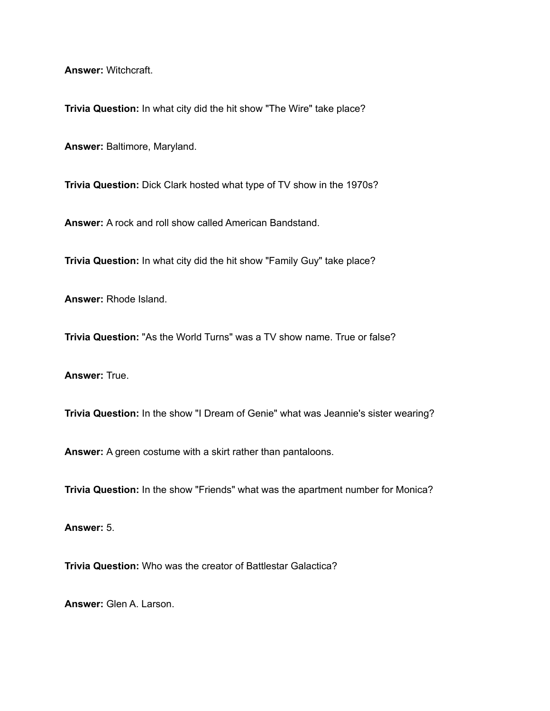**Answer:** Witchcraft.

**Trivia Question:** In what city did the hit show "The Wire" take place?

**Answer:** Baltimore, Maryland.

**Trivia Question:** Dick Clark hosted what type of TV show in the 1970s?

**Answer:** A rock and roll show called American Bandstand.

**Trivia Question:** In what city did the hit show "Family Guy" take place?

**Answer:** Rhode Island.

**Trivia Question:** "As the World Turns" was a TV show name. True or false?

**Answer:** True.

**Trivia Question:** In the show "I Dream of Genie" what was Jeannie's sister wearing?

**Answer:** A green costume with a skirt rather than pantaloons.

**Trivia Question:** In the show "Friends" what was the apartment number for Monica?

**Answer:** 5.

**Trivia Question:** Who was the creator of Battlestar Galactica?

**Answer:** Glen A. Larson.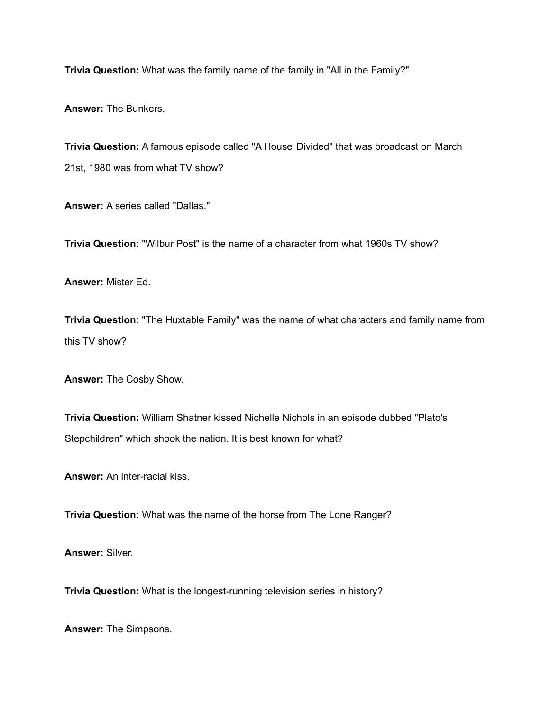**Trivia Question:** What was the family name of the family in "All in the Family?"

**Answer:** The Bunkers.

**Trivia Question:** A famous episode called "A House Divided" that was broadcast on March 21st, 1980 was from what TV show?

**Answer:** A series called "Dallas."

**Trivia Question:** "Wilbur Post" is the name of a character from what 1960s TV show?

**Answer:** Mister Ed.

**Trivia Question:** "The Huxtable Family" was the name of what characters and family name from this TV show?

**Answer:** The Cosby Show.

**Trivia Question:** William Shatner kissed Nichelle Nichols in an episode dubbed "Plato's Stepchildren" which shook the nation. It is best known for what?

**Answer:** An inter-racial kiss.

**Trivia Question:** What was the name of the horse from The Lone Ranger?

**Answer:** Silver.

**Trivia Question:** What is the longest-running television series in history?

**Answer:** The Simpsons.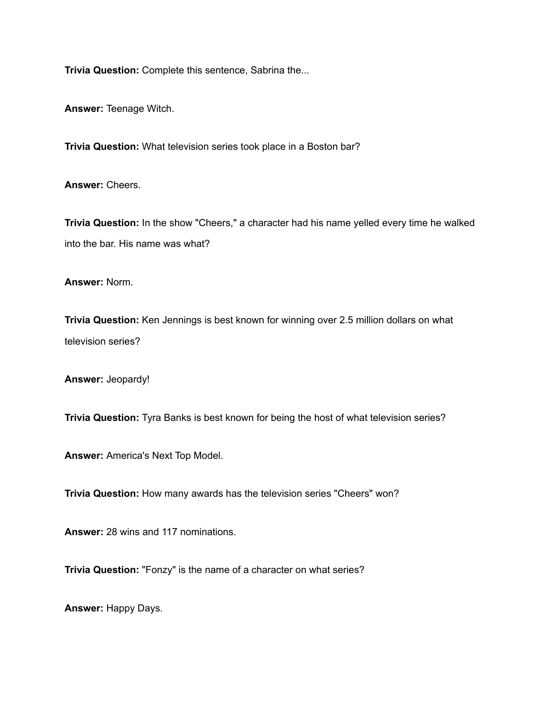**Trivia Question:** Complete this sentence, Sabrina the...

**Answer:** Teenage Witch.

**Trivia Question:** What television series took place in a Boston bar?

**Answer:** Cheers.

**Trivia Question:** In the show "Cheers," a character had his name yelled every time he walked into the bar. His name was what?

**Answer:** Norm.

**Trivia Question:** Ken Jennings is best known for winning over 2.5 million dollars on what television series?

**Answer:** Jeopardy!

**Trivia Question:** Tyra Banks is best known for being the host of what television series?

**Answer:** America's Next Top Model.

**Trivia Question:** How many awards has the television series "Cheers" won?

**Answer:** 28 wins and 117 nominations.

**Trivia Question:** "Fonzy" is the name of a character on what series?

**Answer:** Happy Days.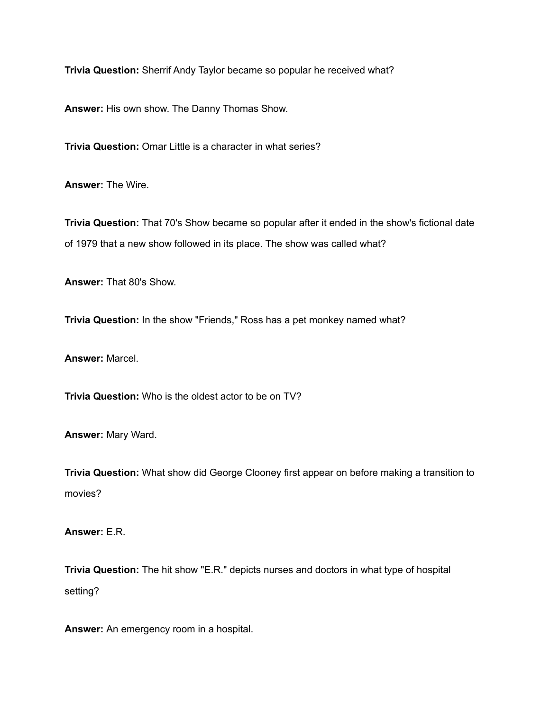**Trivia Question:** Sherrif Andy Taylor became so popular he received what?

**Answer:** His own show. The Danny Thomas Show.

**Trivia Question:** Omar Little is a character in what series?

**Answer:** The Wire.

**Trivia Question:** That 70's Show became so popular after it ended in the show's fictional date of 1979 that a new show followed in its place. The show was called what?

**Answer:** That 80's Show.

**Trivia Question:** In the show "Friends," Ross has a pet monkey named what?

**Answer:** Marcel.

**Trivia Question:** Who is the oldest actor to be on TV?

**Answer:** Mary Ward.

**Trivia Question:** What show did George Clooney first appear on before making a transition to movies?

**Answer:** E.R.

**Trivia Question:** The hit show "E.R." depicts nurses and doctors in what type of hospital setting?

**Answer:** An emergency room in a hospital.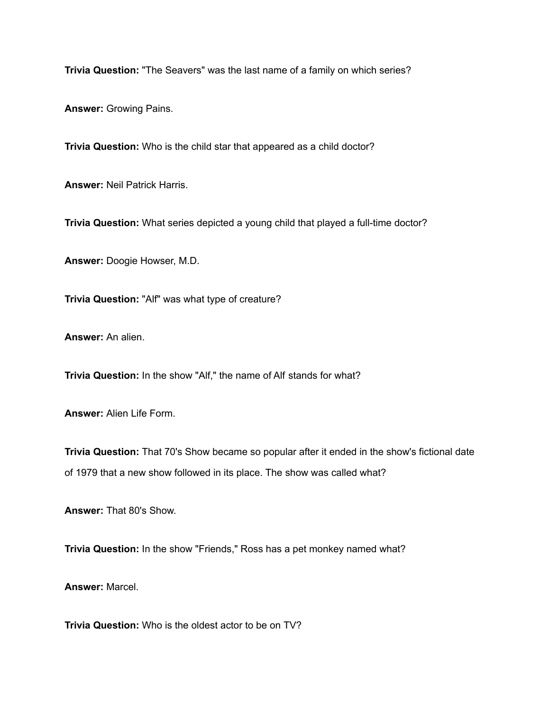**Trivia Question:** "The Seavers" was the last name of a family on which series?

**Answer:** Growing Pains.

**Trivia Question:** Who is the child star that appeared as a child doctor?

**Answer:** Neil Patrick Harris.

**Trivia Question:** What series depicted a young child that played a full-time doctor?

**Answer:** Doogie Howser, M.D.

**Trivia Question:** "Alf" was what type of creature?

**Answer:** An alien.

**Trivia Question:** In the show "Alf," the name of Alf stands for what?

**Answer:** Alien Life Form.

**Trivia Question:** That 70's Show became so popular after it ended in the show's fictional date of 1979 that a new show followed in its place. The show was called what?

**Answer:** That 80's Show.

**Trivia Question:** In the show "Friends," Ross has a pet monkey named what?

**Answer:** Marcel.

**Trivia Question:** Who is the oldest actor to be on TV?